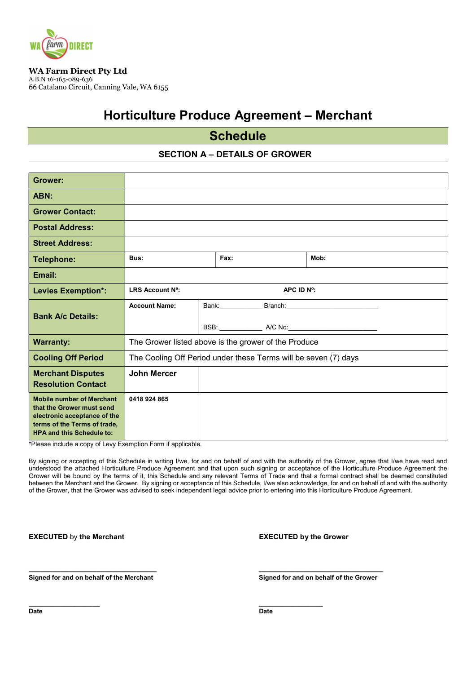

WA Farm Direct Pty Ltd A.B.N 16-165-089-636 66 Catalano Circuit, Canning Vale, WA 6155

# Horticulture Produce Agreement – Merchant

# **Schedule**

## SECTION A – DETAILS OF GROWER

| Grower:                                                                                                                                                   |                                                                 |     |  |                                                          |  |
|-----------------------------------------------------------------------------------------------------------------------------------------------------------|-----------------------------------------------------------------|-----|--|----------------------------------------------------------|--|
| <b>ABN</b>                                                                                                                                                |                                                                 |     |  |                                                          |  |
| <b>Grower Contact</b>                                                                                                                                     |                                                                 |     |  |                                                          |  |
| <b>Postal Address:</b>                                                                                                                                    |                                                                 |     |  |                                                          |  |
| <b>Street Address:</b>                                                                                                                                    |                                                                 |     |  |                                                          |  |
| <b>Telephone:</b>                                                                                                                                         | <b>Bus:</b>                                                     | Fax |  | Mh                                                       |  |
| <b>Email:</b>                                                                                                                                             |                                                                 |     |  |                                                          |  |
| Levies Exemption*:                                                                                                                                        | <b>IRS Account Nº</b><br><b>APC IDN?</b>                        |     |  |                                                          |  |
| <b>Bank A/c Details:</b>                                                                                                                                  | <b>Account Name</b>                                             |     |  | Bank: Bank: Branch: Branch: Bank:                        |  |
|                                                                                                                                                           |                                                                 |     |  | BSB: _______________ A/C No:____________________________ |  |
| <b>Wanarty:</b>                                                                                                                                           | The Grower listed above is the grower of the Produce            |     |  |                                                          |  |
| <b>Cooling Off Period</b>                                                                                                                                 | The Cooling Off Period under these Terms will be seven (7) days |     |  |                                                          |  |
| <b>Machart Disputes</b><br><b>Resolution Contact</b>                                                                                                      | <b>John Marcer</b>                                              |     |  |                                                          |  |
| <b>MbilenmberofMachart</b><br>that the Grower must send<br>electronic acceptance of the<br>tems of the Tems of trade.<br><b>HPA</b> and this Schedule to: | 0418924865                                                      |     |  |                                                          |  |

\*Please include a copy of Levy Exemption Form if applicable.

By signing or accepting of this Schedule in writing I/we, for and on behalf of and with the authority of the Grower, agree that I/we have read and understood the attached Horticulture Produce Agreement and that upon such signing or acceptance of the Horticulture Produce Agreement the Grower will be bound by the terms of it, this Schedule and any relevant Terms of Trade and that a formal contract shall be deemed constituted between the Merchant and the Grower. By signing or acceptance of this Schedule, I/we also acknowledge, for and on behalf of and with the authority of the Grower, that the Grower was advised to seek independent legal advice prior to entering into this Horticulture Produce Agreement.

\_\_\_\_\_\_\_\_\_\_\_\_\_\_\_\_\_\_\_\_\_\_\_\_\_\_\_\_\_\_\_\_ \_\_\_\_\_\_\_\_\_\_\_\_\_\_\_\_\_\_\_\_\_\_\_\_\_\_\_\_\_\_\_

\_\_\_\_\_\_\_\_\_\_\_\_\_\_\_\_\_\_\_\_ \_\_\_\_\_\_\_\_\_\_\_\_\_\_\_\_\_\_

**EXECUTED** by the Merchant **EXECUTED** by the Grower

Signed for and on behalf of the Merchant Signed for and on behalf of the Grower

**Date Date Date Date**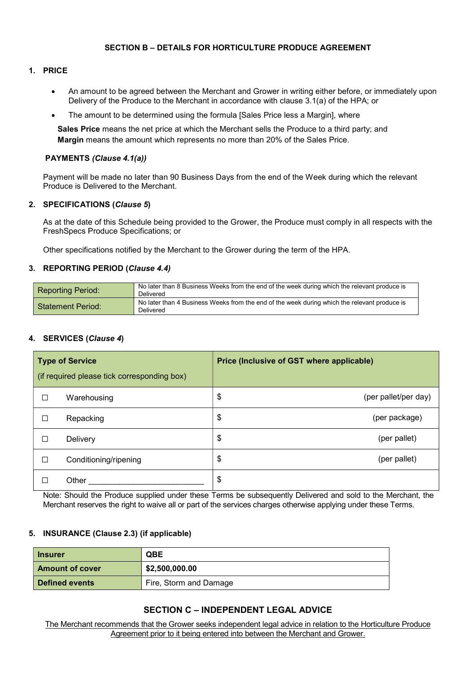### SECTION B – DETAILS FOR HORTICULTURE PRODUCE AGREEMENT

#### 1. PRICE

- An amount to be agreed between the Merchant and Grower in writing either before, or immediately upon Delivery of the Produce to the Merchant in accordance with clause 3.1(a) of the HPA; or
- The amount to be determined using the formula [Sales Price less a Margin], where

Sales Price means the net price at which the Merchant sells the Produce to a third party; and Margin means the amount which represents no more than 20% of the Sales Price.

#### PAYMENTS (Clause 4.1(a))

Payment will be made no later than 90 Business Days from the end of the Week during which the relevant Produce is Delivered to the Merchant.

#### 2 **SPECIFICATIONS** (Clause 5)

As at the date of this Schedule being provided to the Grower, the Produce must comply in all respects with the FreshSpecs Produce Specifications; or

Other specifications notified by the Merchant to the Grower during the term of the HPA.

#### 3. REPORTING PERIOD (Clause 4.4)

| <b>Reporting Period:</b> | No later than 8 Business Weeks from the end of the week during which the relevant produce is<br>Delivered |
|--------------------------|-----------------------------------------------------------------------------------------------------------|
| Statement Period:        | No later than 4 Business Weeks from the end of the week during which the relevant produce is<br>Delivered |

### 4. SERVICES (Clause 4)

| <b>Type of Service</b><br>(if required please tick corresponding box) |                       | Price (Inclusive of GST where applicable) |
|-----------------------------------------------------------------------|-----------------------|-------------------------------------------|
| □                                                                     | Warehousing           | \$<br>(per pallet/per day)                |
| □                                                                     | Repacking             | $\boldsymbol{\theta}$<br>(per package)    |
| □                                                                     | Delivery              | \$<br>(per pallet)                        |
| □                                                                     | Conditioning/ripening | \$<br>(per pallet)                        |
| H                                                                     | Other                 | $\boldsymbol{\theta}$                     |

Note: Should the Produce supplied under these Terms be subsequently Delivered and sold to the Merchant, the Merchant reserves the right to waive all or part of the services charges otherwise applying under these Terms.

### 5. INSURANCE (Clause 2.3) (if applicable)

| <b>hsurer</b>         | CBE                    |  |
|-----------------------|------------------------|--|
| Amuntofcover          | \$2,500,000 m          |  |
| <b>Defined events</b> | Fire, Storm and Damage |  |

## SECTION C – INDEPENDENT LEGAL ADVICE

The Merchant recommends that the Grower seeks independent legal advice in relation to the Horticulture Produce Agreement prior to it being entered into between the Merchant and Grower.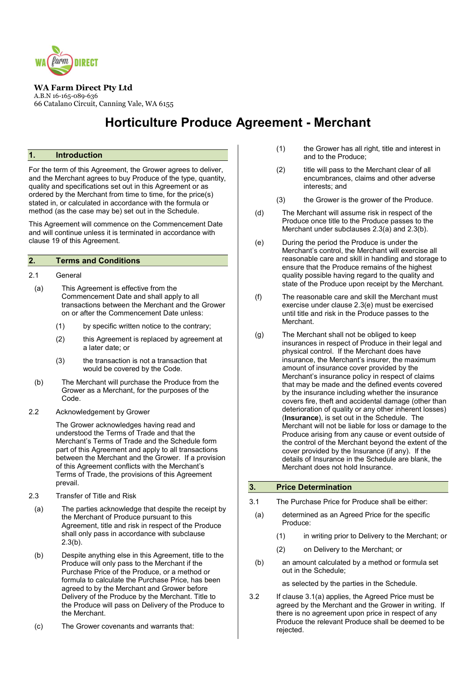

WA Farm Direct Pty Ltd A.B.N 16-165-089-636 66 Catalano Circuit, Canning Vale, WA 6155

# Horticulture Produce Agreement - Merchant

#### 1. Introduction

For the term of this Agreement, the Grower agrees to deliver, and the Merchant agrees to buy Produce of the type, quantity, quality and specifications set out in this Agreement or as ordered by the Merchant from time to time, for the price(s) stated in, or calculated in accordance with the formula or method (as the case may be) set out in the Schedule.

This Agreement will commence on the Commencement Date and will continue unless it is terminated in accordance with clause 19 of this Agreement.

### 2. Terms and Conditions

#### 2.1 General

- (a) This Agreement is effective from the Commencement Date and shall apply to all transactions between the Merchant and the Grower on or after the Commencement Date unless:
	- (1) by specific written notice to the contrary;
	- (2) this Agreement is replaced by agreement at a later date; or
	- (3) the transaction is not a transaction that would be covered by the Code.
- (b) The Merchant will purchase the Produce from the Grower as a Merchant, for the purposes of the Code.
- 2.2 Acknowledgement by Grower

The Grower acknowledges having read and understood the Terms of Trade and that the Merchant's Terms of Trade and the Schedule form part of this Agreement and apply to all transactions between the Merchant and the Grower. If a provision of this Agreement conflicts with the Merchant's Terms of Trade, the provisions of this Agreement prevail.

- 2.3 Transfer of Title and Risk
- (a) The parties acknowledge that despite the receipt by the Merchant of Produce pursuant to this Agreement, title and risk in respect of the Produce shall only pass in accordance with subclause 2.3(b).
- (b) Despite anything else in this Agreement, title to the Produce will only pass to the Merchant if the Purchase Price of the Produce, or a method or formula to calculate the Purchase Price, has been agreed to by the Merchant and Grower before Delivery of the Produce by the Merchant. Title to the Produce will pass on Delivery of the Produce to the Merchant.
- (c) The Grower covenants and warrants that:
- (1) the Grower has all right, title and interest in and to the Produce;
- (2) title will pass to the Merchant clear of all encumbrances, claims and other adverse interests; and
- (3) the Grower is the grower of the Produce.
- (d) The Merchant will assume risk in respect of the Produce once title to the Produce passes to the Merchant under subclauses 2.3(a) and 2.3(b).
- (e) During the period the Produce is under the Merchant's control, the Merchant will exercise all reasonable care and skill in handling and storage to ensure that the Produce remains of the highest quality possible having regard to the quality and state of the Produce upon receipt by the Merchant.
- (f) The reasonable care and skill the Merchant must exercise under clause 2.3(e) must be exercised until title and risk in the Produce passes to the Merchant.
- (g) The Merchant shall not be obliged to keep insurances in respect of Produce in their legal and physical control. If the Merchant does have insurance, the Merchant's insurer, the maximum amount of insurance cover provided by the Merchant's insurance policy in respect of claims that may be made and the defined events covered by the insurance including whether the insurance covers fire, theft and accidental damage (other than deterioration of quality or any other inherent losses) (Insurance), is set out in the Schedule. The Merchant will not be liable for loss or damage to the Produce arising from any cause or event outside of the control of the Merchant beyond the extent of the cover provided by the Insurance (if any). If the details of Insurance in the Schedule are blank, the Merchant does not hold Insurance.

#### 3. Price Determination

- 3.1 The Purchase Price for Produce shall be either:
	- (a) determined as an Agreed Price for the specific Produce:
		- (1) in writing prior to Delivery to the Merchant; or
		- (2) on Delivery to the Merchant; or
	- (b) an amount calculated by a method or formula set out in the Schedule;

as selected by the parties in the Schedule.

3.2 If clause 3.1(a) applies, the Agreed Price must be agreed by the Merchant and the Grower in writing. If there is no agreement upon price in respect of any Produce the relevant Produce shall be deemed to be rejected.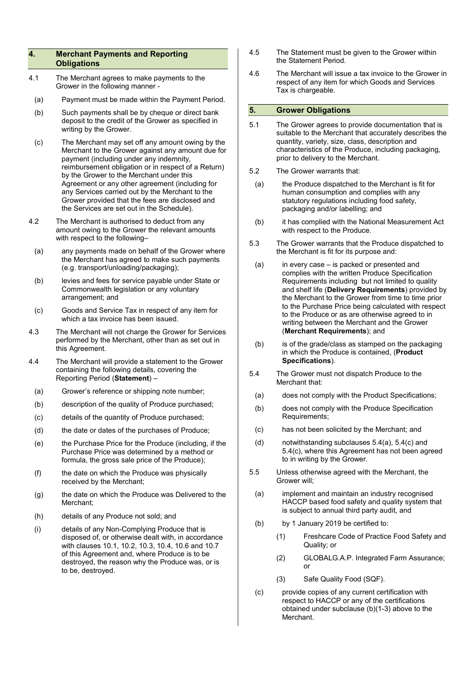#### 4. Merchant Payments and Reporting **Obligations**

- 4.1 The Merchant agrees to make payments to the Grower in the following manner -
- (a) Payment must be made within the Payment Period.
- (b) Such payments shall be by cheque or direct bank deposit to the credit of the Grower as specified in writing by the Grower.
- (c) The Merchant may set off any amount owing by the Merchant to the Grower against any amount due for payment (including under any indemnity, reimbursement obligation or in respect of a Return) by the Grower to the Merchant under this Agreement or any other agreement (including for any Services carried out by the Merchant to the Grower provided that the fees are disclosed and the Services are set out in the Schedule).
- 4.2 The Merchant is authorised to deduct from any amount owing to the Grower the relevant amounts with respect to the following–
	- (a) any payments made on behalf of the Grower where the Merchant has agreed to make such payments (e.g. transport/unloading/packaging);
- (b) levies and fees for service payable under State or Commonwealth legislation or any voluntary arrangement; and
- (c) Goods and Service Tax in respect of any item for which a tax invoice has been issued.
- 4.3 The Merchant will not charge the Grower for Services performed by the Merchant, other than as set out in this Agreement.
- 4.4 The Merchant will provide a statement to the Grower containing the following details, covering the Reporting Period (Statement) –
	- (a) Grower's reference or shipping note number;
	- (b) description of the quality of Produce purchased;
	- (c) details of the quantity of Produce purchased;
	- (d) the date or dates of the purchases of Produce;
	- (e) the Purchase Price for the Produce (including, if the Purchase Price was determined by a method or formula, the gross sale price of the Produce);
	- (f) the date on which the Produce was physically received by the Merchant;
	- (g) the date on which the Produce was Delivered to the Merchant;
	- (h) details of any Produce not sold; and
	- (i) details of any Non-Complying Produce that is disposed of, or otherwise dealt with, in accordance with clauses 10.1, 10.2, 10.3, 10.4, 10.6 and 10.7 of this Agreement and, where Produce is to be destroyed, the reason why the Produce was, or is to be, destroyed.
- 4.5 The Statement must be given to the Grower within the Statement Period.
- 4.6 The Merchant will issue a tax invoice to the Grower in respect of any item for which Goods and Services Tax is chargeable.

#### 5. Grower Obligations

- 5.1 The Grower agrees to provide documentation that is suitable to the Merchant that accurately describes the quantity, variety, size, class, description and characteristics of the Produce, including packaging, prior to delivery to the Merchant.
- 5.2 The Grower warrants that:
	- (a) the Produce dispatched to the Merchant is fit for human consumption and complies with any statutory regulations including food safety, packaging and/or labelling; and
	- (b) it has complied with the National Measurement Act with respect to the Produce.
- 5.3 The Grower warrants that the Produce dispatched to the Merchant is fit for its purpose and:
- (a) in every case is packed or presented and complies with the written Produce Specification Requirements including but not limited to quality and shelf life (Delivery Requirements) provided by the Merchant to the Grower from time to time prior to the Purchase Price being calculated with respect to the Produce or as are otherwise agreed to in writing between the Merchant and the Grower (Merchant Requirements); and
- (b) is of the grade/class as stamped on the packaging in which the Produce is contained, (Product Specifications).
- 5.4 The Grower must not dispatch Produce to the Merchant that:
	- (a) does not comply with the Product Specifications;
	- (b) does not comply with the Produce Specification Requirements;
	- (c) has not been solicited by the Merchant; and
	- (d) notwithstanding subclauses 5.4(a), 5.4(c) and 5.4(c), where this Agreement has not been agreed to in writing by the Grower.
- 5.5 Unless otherwise agreed with the Merchant, the Grower will;
	- (a) implement and maintain an industry recognised HACCP based food safety and quality system that is subject to annual third party audit, and
	- (b) by 1 January 2019 be certified to:
		- (1) Freshcare Code of Practice Food Safety and Quality; or
		- (2) GLOBALG.A.P. Integrated Farm Assurance; or
		- (3) Safe Quality Food (SQF).
	- (c) provide copies of any current certification with respect to HACCP or any of the certifications obtained under subclause (b)(1-3) above to the Merchant.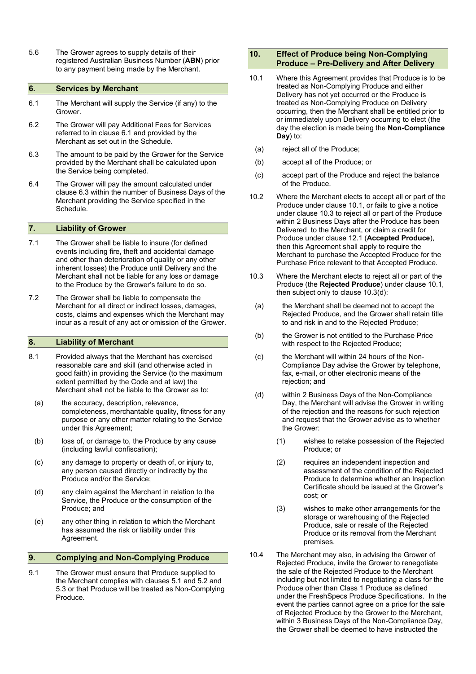5.6 The Grower agrees to supply details of their registered Australian Business Number (ABN) prior to any payment being made by the Merchant.

#### 6. Services by Merchant

- 6.1 The Merchant will supply the Service (if any) to the Grower.
- 6.2 The Grower will pay Additional Fees for Services referred to in clause 6.1 and provided by the Merchant as set out in the Schedule.
- 6.3 The amount to be paid by the Grower for the Service provided by the Merchant shall be calculated upon the Service being completed.
- 6.4 The Grower will pay the amount calculated under clause 6.3 within the number of Business Days of the Merchant providing the Service specified in the Schedule.

#### 7. Liability of Grower

- 7.1 The Grower shall be liable to insure (for defined events including fire, theft and accidental damage and other than deterioration of quality or any other inherent losses) the Produce until Delivery and the Merchant shall not be liable for any loss or damage to the Produce by the Grower's failure to do so.
- 7.2 The Grower shall be liable to compensate the Merchant for all direct or indirect losses, damages, costs, claims and expenses which the Merchant may incur as a result of any act or omission of the Grower.

#### 8. Liability of Merchant

- 8.1 Provided always that the Merchant has exercised reasonable care and skill (and otherwise acted in good faith) in providing the Service (to the maximum extent permitted by the Code and at law) the Merchant shall not be liable to the Grower as to:
	- (a) the accuracy, description, relevance, completeness, merchantable quality, fitness for any purpose or any other matter relating to the Service under this Agreement;
	- (b) loss of, or damage to, the Produce by any cause (including lawful confiscation);
	- (c) any damage to property or death of, or injury to, any person caused directly or indirectly by the Produce and/or the Service;
	- (d) any claim against the Merchant in relation to the Service, the Produce or the consumption of the Produce; and
	- (e) any other thing in relation to which the Merchant has assumed the risk or liability under this Agreement.

#### 9. Complying and Non-Complying Produce

9.1 The Grower must ensure that Produce supplied to the Merchant complies with clauses 5.1 and 5.2 and 5.3 or that Produce will be treated as Non-Complying Produce.

#### 10. Effect of Produce being Non-Complying Produce – Pre-Delivery and After Delivery

- 10.1 Where this Agreement provides that Produce is to be treated as Non-Complying Produce and either Delivery has not yet occurred or the Produce is treated as Non-Complying Produce on Delivery occurring, then the Merchant shall be entitled prior to or immediately upon Delivery occurring to elect (the day the election is made being the Non-Compliance Day) to:
	- (a) reject all of the Produce;
- (b) accept all of the Produce; or
- (c) accept part of the Produce and reject the balance of the Produce.
- 10.2 Where the Merchant elects to accept all or part of the Produce under clause 10.1, or fails to give a notice under clause 10.3 to reject all or part of the Produce within 2 Business Days after the Produce has been Delivered to the Merchant, or claim a credit for Produce under clause 12.1 (Accepted Produce), then this Agreement shall apply to require the Merchant to purchase the Accepted Produce for the Purchase Price relevant to that Accepted Produce.
- 10.3 Where the Merchant elects to reject all or part of the Produce (the Rejected Produce) under clause 10.1, then subject only to clause 10.3(d):
	- (a) the Merchant shall be deemed not to accept the Rejected Produce, and the Grower shall retain title to and risk in and to the Rejected Produce;
	- (b) the Grower is not entitled to the Purchase Price with respect to the Rejected Produce;
	- (c) the Merchant will within 24 hours of the Non-Compliance Day advise the Grower by telephone, fax, e-mail, or other electronic means of the rejection; and
	- (d) within 2 Business Days of the Non-Compliance Day, the Merchant will advise the Grower in writing of the rejection and the reasons for such rejection and request that the Grower advise as to whether the Grower:
		- (1) wishes to retake possession of the Rejected Produce; or
		- (2) requires an independent inspection and assessment of the condition of the Rejected Produce to determine whether an Inspection Certificate should be issued at the Grower's cost; or
		- (3) wishes to make other arrangements for the storage or warehousing of the Rejected Produce, sale or resale of the Rejected Produce or its removal from the Merchant premises.
- 10.4 The Merchant may also, in advising the Grower of Rejected Produce, invite the Grower to renegotiate the sale of the Rejected Produce to the Merchant including but not limited to negotiating a class for the Produce other than Class 1 Produce as defined under the FreshSpecs Produce Specifications. In the event the parties cannot agree on a price for the sale of Rejected Produce by the Grower to the Merchant, within 3 Business Days of the Non-Compliance Day, the Grower shall be deemed to have instructed the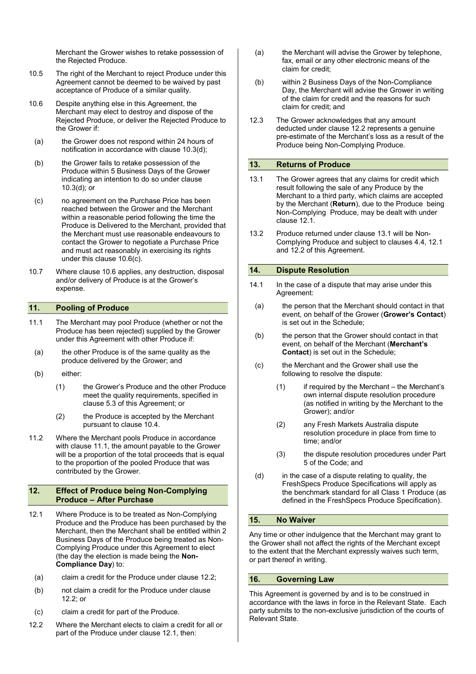Merchant the Grower wishes to retake possession of the Rejected Produce.

- 10.5 The right of the Merchant to reject Produce under this Agreement cannot be deemed to be waived by past acceptance of Produce of a similar quality.
- 10.6 Despite anything else in this Agreement, the Merchant may elect to destroy and dispose of the Rejected Produce, or deliver the Rejected Produce to the Grower if:
	- (a) the Grower does not respond within 24 hours of notification in accordance with clause 10.3(d);
	- (b) the Grower fails to retake possession of the Produce within 5 Business Days of the Grower indicating an intention to do so under clause 10.3(d); or
- (c) no agreement on the Purchase Price has been reached between the Grower and the Merchant within a reasonable period following the time the Produce is Delivered to the Merchant, provided that the Merchant must use reasonable endeavours to contact the Grower to negotiate a Purchase Price and must act reasonably in exercising its rights under this clause 10.6(c).
- 10.7 Where clause 10.6 applies, any destruction, disposal and/or delivery of Produce is at the Grower's expense.

#### 11. Pooling of Produce

- 11.1 The Merchant may pool Produce (whether or not the Produce has been rejected) supplied by the Grower under this Agreement with other Produce if:
	- (a) the other Produce is of the same quality as the produce delivered by the Grower; and
	- (b) either:
		- (1) the Grower's Produce and the other Produce meet the quality requirements, specified in clause 5.3 of this Agreement; or
		- (2) the Produce is accepted by the Merchant pursuant to clause 10.4.
- 11.2 Where the Merchant pools Produce in accordance with clause 11.1, the amount payable to the Grower will be a proportion of the total proceeds that is equal to the proportion of the pooled Produce that was contributed by the Grower.

#### 12. Effect of Produce being Non-Complying Produce – After Purchase

- 12.1 Where Produce is to be treated as Non-Complying Produce and the Produce has been purchased by the Merchant, then the Merchant shall be entitled within 2 Business Days of the Produce being treated as Non-Complying Produce under this Agreement to elect (the day the election is made being the Non-Compliance Day) to:
	- (a) claim a credit for the Produce under clause 12.2;
	- (b) not claim a credit for the Produce under clause 12.2; or
	- (c) claim a credit for part of the Produce.
- 12.2 Where the Merchant elects to claim a credit for all or part of the Produce under clause 12.1, then:
- (a) the Merchant will advise the Grower by telephone, fax, email or any other electronic means of the claim for credit;
- (b) within 2 Business Days of the Non-Compliance Day, the Merchant will advise the Grower in writing of the claim for credit and the reasons for such claim for credit; and
- 12.3 The Grower acknowledges that any amount deducted under clause 12.2 represents a genuine pre-estimate of the Merchant's loss as a result of the Produce being Non-Complying Produce.

#### 13. Returns of Produce

- 13.1 The Grower agrees that any claims for credit which result following the sale of any Produce by the Merchant to a third party, which claims are accepted by the Merchant (Return), due to the Produce being Non-Complying Produce, may be dealt with under clause 12.1.
- 13.2 Produce returned under clause 13.1 will be Non-Complying Produce and subject to clauses 4.4, 12.1 and 12.2 of this Agreement.

#### 14. Dispute Resolution

- 14.1 In the case of a dispute that may arise under this Agreement:
	- (a) the person that the Merchant should contact in that event, on behalf of the Grower (Grower's Contact) is set out in the Schedule;
	- (b) the person that the Grower should contact in that event, on behalf of the Merchant (Merchant's Contact) is set out in the Schedule;
	- (c) the Merchant and the Grower shall use the following to resolve the dispute:
		- (1) if required by the Merchant the Merchant's own internal dispute resolution procedure (as notified in writing by the Merchant to the Grower); and/or
		- (2) any Fresh Markets Australia dispute resolution procedure in place from time to time; and/or
		- (3) the dispute resolution procedures under Part 5 of the Code; and
	- (d) in the case of a dispute relating to quality, the FreshSpecs Produce Specifications will apply as the benchmark standard for all Class 1 Produce (as defined in the FreshSpecs Produce Specification).

#### 15. No Waiver

Any time or other indulgence that the Merchant may grant to the Grower shall not affect the rights of the Merchant except to the extent that the Merchant expressly waives such term, or part thereof in writing.

#### 16. Governing Law

This Agreement is governed by and is to be construed in accordance with the laws in force in the Relevant State. Each party submits to the non-exclusive jurisdiction of the courts of Relevant State.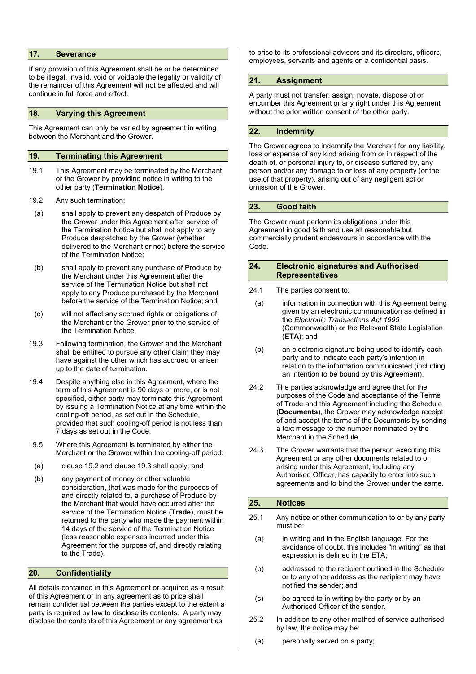#### 17. Severance

If any provision of this Agreement shall be or be determined to be illegal, invalid, void or voidable the legality or validity of the remainder of this Agreement will not be affected and will continue in full force and effect.

#### 18. Varying this Agreement

This Agreement can only be varied by agreement in writing between the Merchant and the Grower.

#### 19. Terminating this Agreement

- 19.1 This Agreement may be terminated by the Merchant or the Grower by providing notice in writing to the other party (Termination Notice).
- 19.2 Any such termination:
	- (a) shall apply to prevent any despatch of Produce by the Grower under this Agreement after service of the Termination Notice but shall not apply to any Produce despatched by the Grower (whether delivered to the Merchant or not) before the service of the Termination Notice;
	- (b) shall apply to prevent any purchase of Produce by the Merchant under this Agreement after the service of the Termination Notice but shall not apply to any Produce purchased by the Merchant before the service of the Termination Notice; and
	- (c) will not affect any accrued rights or obligations of the Merchant or the Grower prior to the service of the Termination Notice.
- 19.3 Following termination, the Grower and the Merchant shall be entitled to pursue any other claim they may have against the other which has accrued or arisen up to the date of termination.
- 19.4 Despite anything else in this Agreement, where the term of this Agreement is 90 days or more, or is not specified, either party may terminate this Agreement by issuing a Termination Notice at any time within the cooling-off period, as set out in the Schedule, provided that such cooling-off period is not less than 7 days as set out in the Code.
- 19.5 Where this Agreement is terminated by either the Merchant or the Grower within the cooling-off period:
	- (a) clause 19.2 and clause 19.3 shall apply; and
- (b) any payment of money or other valuable consideration, that was made for the purposes of, and directly related to, a purchase of Produce by the Merchant that would have occurred after the service of the Termination Notice (Trade), must be returned to the party who made the payment within 14 days of the service of the Termination Notice (less reasonable expenses incurred under this Agreement for the purpose of, and directly relating to the Trade).

#### 20. Confidentiality

All details contained in this Agreement or acquired as a result of this Agreement or in any agreement as to price shall remain confidential between the parties except to the extent a party is required by law to disclose its contents. A party may disclose the contents of this Agreement or any agreement as

to price to its professional advisers and its directors, officers, employees, servants and agents on a confidential basis.

### 21. Assignment

A party must not transfer, assign, novate, dispose of or encumber this Agreement or any right under this Agreement without the prior written consent of the other party.

#### 22. Indemnity

The Grower agrees to indemnify the Merchant for any liability, loss or expense of any kind arising from or in respect of the death of, or personal injury to, or disease suffered by, any person and/or any damage to or loss of any property (or the use of that property), arising out of any negligent act or omission of the Grower.

#### 23. Good faith

The Grower must perform its obligations under this Agreement in good faith and use all reasonable but commercially prudent endeavours in accordance with the Code.

#### 24. Electronic signatures and Authorised Representatives

- 24.1 The parties consent to:
- (a) information in connection with this Agreement being given by an electronic communication as defined in the Electronic Transactions Act 1999 (Commonwealth) or the Relevant State Legislation (ETA); and
- (b) an electronic signature being used to identify each party and to indicate each party's intention in relation to the information communicated (including an intention to be bound by this Agreement).
- 24.2 The parties acknowledge and agree that for the purposes of the Code and acceptance of the Terms of Trade and this Agreement including the Schedule (Documents), the Grower may acknowledge receipt of and accept the terms of the Documents by sending a text message to the number nominated by the Merchant in the Schedule.
- 24.3 The Grower warrants that the person executing this Agreement or any other documents related to or arising under this Agreement, including any Authorised Officer, has capacity to enter into such agreements and to bind the Grower under the same.

#### 25. Notices

- 25.1 Any notice or other communication to or by any party must be:
	- (a) in writing and in the English language. For the avoidance of doubt, this includes "in writing" as that expression is defined in the ETA;
	- (b) addressed to the recipient outlined in the Schedule or to any other address as the recipient may have notified the sender; and
	- (c) be agreed to in writing by the party or by an Authorised Officer of the sender.
- 25.2 In addition to any other method of service authorised by law, the notice may be:
	- (a) personally served on a party;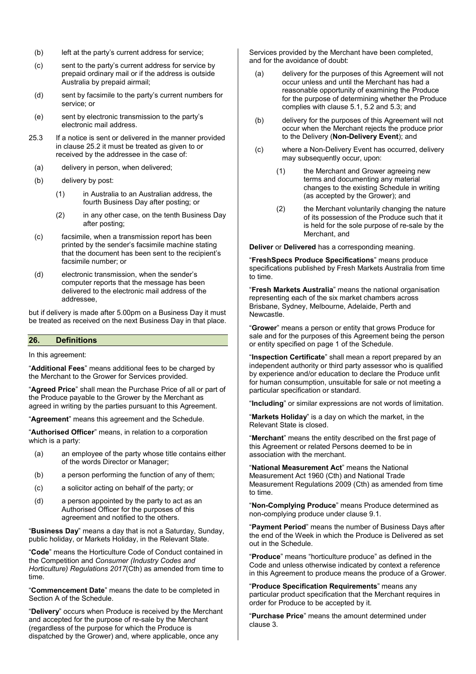- (b) left at the party's current address for service;
- (c) sent to the party's current address for service by prepaid ordinary mail or if the address is outside Australia by prepaid airmail;
- (d) sent by facsimile to the party's current numbers for service; or
- (e) sent by electronic transmission to the party's electronic mail address.
- 25.3 If a notice is sent or delivered in the manner provided in clause 25.2 it must be treated as given to or received by the addressee in the case of:
	- (a) delivery in person, when delivered;
	- (b) delivery by post:
		- (1) in Australia to an Australian address, the fourth Business Day after posting; or
		- (2) in any other case, on the tenth Business Day after posting;
	- (c) facsimile, when a transmission report has been printed by the sender's facsimile machine stating that the document has been sent to the recipient's facsimile number; or
	- (d) electronic transmission, when the sender's computer reports that the message has been delivered to the electronic mail address of the addressee,

but if delivery is made after 5.00pm on a Business Day it must be treated as received on the next Business Day in that place.

#### 26. Definitions

In this agreement:

"Additional Fees" means additional fees to be charged by the Merchant to the Grower for Services provided.

"Agreed Price" shall mean the Purchase Price of all or part of the Produce payable to the Grower by the Merchant as agreed in writing by the parties pursuant to this Agreement.

"Agreement" means this agreement and the Schedule.

"Authorised Officer" means, in relation to a corporation which is a party:

- (a) an employee of the party whose title contains either of the words Director or Manager;
- (b) a person performing the function of any of them;
- (c) a solicitor acting on behalf of the party; or
- (d) a person appointed by the party to act as an Authorised Officer for the purposes of this agreement and notified to the others.

"Business Day" means a day that is not a Saturday, Sunday, public holiday, or Markets Holiday, in the Relevant State.

"Code" means the Horticulture Code of Conduct contained in the Competition and Consumer (Industry Codes and Horticulture) Regulations 2017(Cth) as amended from time to time.

"Commencement Date" means the date to be completed in Section A of the Schedule.

"Delivery" occurs when Produce is received by the Merchant and accepted for the purpose of re-sale by the Merchant (regardless of the purpose for which the Produce is dispatched by the Grower) and, where applicable, once any

Services provided by the Merchant have been completed, and for the avoidance of doubt:

- (a) delivery for the purposes of this Agreement will not occur unless and until the Merchant has had a reasonable opportunity of examining the Produce for the purpose of determining whether the Produce complies with clause 5.1, 5.2 and 5.3; and
- (b) delivery for the purposes of this Agreement will not occur when the Merchant rejects the produce prior to the Delivery (Non-Delivery Event); and
- (c) where a Non-Delivery Event has occurred, delivery may subsequently occur, upon:
	- (1) the Merchant and Grower agreeing new terms and documenting any material changes to the existing Schedule in writing (as accepted by the Grower); and
	- (2) the Merchant voluntarily changing the nature of its possession of the Produce such that it is held for the sole purpose of re-sale by the Merchant, and

Deliver or Delivered has a corresponding meaning.

"FreshSpecs Produce Specifications" means produce specifications published by Fresh Markets Australia from time to time.

"Fresh Markets Australia" means the national organisation representing each of the six market chambers across Brisbane, Sydney, Melbourne, Adelaide, Perth and Newcastle.

"Grower" means a person or entity that grows Produce for sale and for the purposes of this Agreement being the person or entity specified on page 1 of the Schedule.

"Inspection Certificate" shall mean a report prepared by an independent authority or third party assessor who is qualified by experience and/or education to declare the Produce unfit for human consumption, unsuitable for sale or not meeting a particular specification or standard.

"Including" or similar expressions are not words of limitation.

"Markets Holiday" is a day on which the market, in the Relevant State is closed.

"Merchant" means the entity described on the first page of this Agreement or related Persons deemed to be in association with the merchant.

"National Measurement Act" means the National Measurement Act 1960 (Cth) and National Trade Measurement Regulations 2009 (Cth) as amended from time to time.

"Non-Complying Produce" means Produce determined as non-complying produce under clause 9.1.

"Payment Period" means the number of Business Days after the end of the Week in which the Produce is Delivered as set out in the Schedule.

"Produce" means "horticulture produce" as defined in the Code and unless otherwise indicated by context a reference in this Agreement to produce means the produce of a Grower.

"Produce Specification Requirements" means any particular product specification that the Merchant requires in order for Produce to be accepted by it.

"Purchase Price" means the amount determined under clause 3.